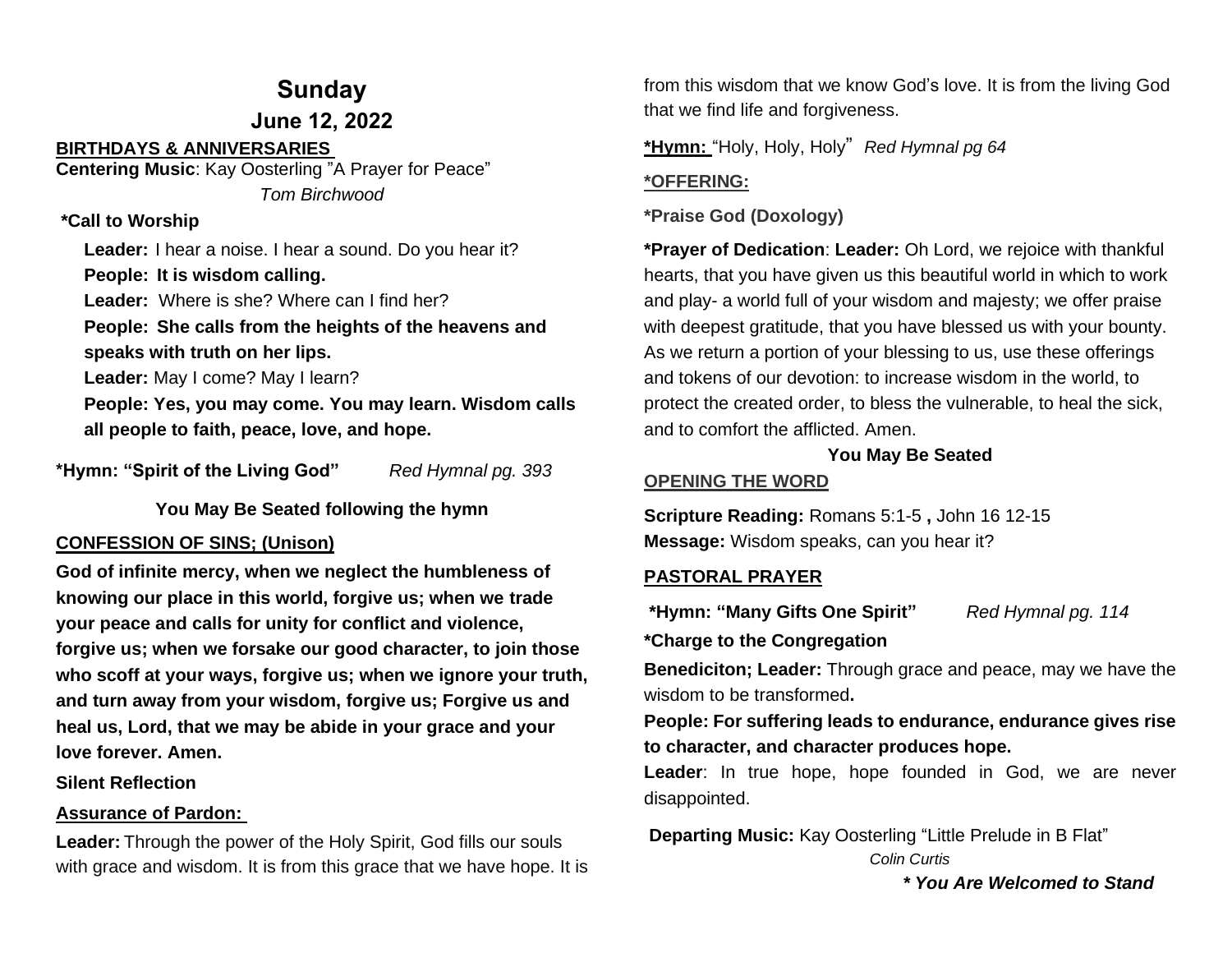### **Sunday**

**June 12, 2022**

#### **BIRTHDAYS & ANNIVERSARIES**

**Centering Music**: Kay Oosterling "A Prayer for Peace" *Tom Birchwood*

#### **\*Call to Worship**

**Leader:** I hear a noise. I hear a sound. Do you hear it? **People: It is wisdom calling. Leader:** Where is she? Where can I find her? **People: She calls from the heights of the heavens and speaks with truth on her lips. Leader:** May I come? May I learn? **People: Yes, you may come. You may learn. Wisdom calls all people to faith, peace, love, and hope.** 

**\*Hymn: "Spirit of the Living God"** *Red Hymnal pg. 393*

**You May Be Seated following the hymn**

#### **CONFESSION OF SINS; (Unison)**

**God of infinite mercy, when we neglect the humbleness of knowing our place in this world, forgive us; when we trade your peace and calls for unity for conflict and violence, forgive us; when we forsake our good character, to join those who scoff at your ways, forgive us; when we ignore your truth, and turn away from your wisdom, forgive us; Forgive us and heal us, Lord, that we may be abide in your grace and your love forever. Amen.**

#### **Silent Reflection**

#### **Assurance of Pardon:**

**Leader:** Through the power of the Holy Spirit, God fills our souls with grace and wisdom. It is from this grace that we have hope. It is

from this wisdom that we know God's love. It is from the living God that we find life and forgiveness.

**\*Hymn:** "Holy, Holy, Holy" *Red Hymnal pg 64*

#### **\*OFFERING:**

**\*Praise God (Doxology)**

**\*Prayer of Dedication**: **Leader:** Oh Lord, we rejoice with thankful hearts, that you have given us this beautiful world in which to work and play- a world full of your wisdom and majesty; we offer praise with deepest gratitude, that you have blessed us with your bounty. As we return a portion of your blessing to us, use these offerings and tokens of our devotion: to increase wisdom in the world, to protect the created order, to bless the vulnerable, to heal the sick, and to comfort the afflicted. Amen.

#### **You May Be Seated**

#### **OPENING THE WORD**

**Scripture Reading:** Romans 5:1-5 **,** John 16 12-15 **Message:** Wisdom speaks, can you hear it?

#### **PASTORAL PRAYER**

**\*Hymn: "Many Gifts One Spirit"** *Red Hymnal pg. 114*

**\*Charge to the Congregation**

**Benediciton; Leader:** Through grace and peace, may we have the wisdom to be transformed**.**

**People: For suffering leads to endurance, endurance gives rise to character, and character produces hope.**

**Leader**: In true hope, hope founded in God, we are never disappointed.

**Departing Music:** Kay Oosterling "Little Prelude in B Flat" *Colin Curtis*

 *\* You Are Welcomed to Stand*